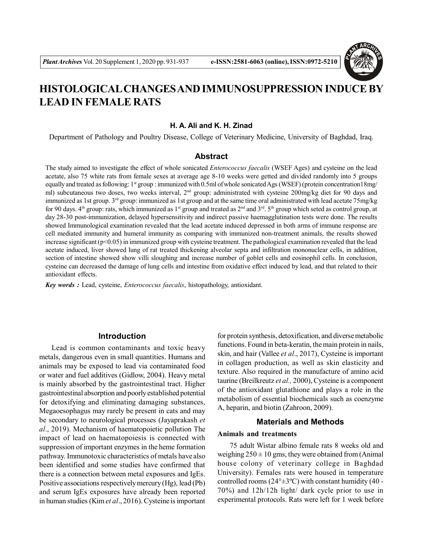

# **HISTOLOGICAL CHANGES AND IMMUNOSUPPRESSION INDUCE BY LEAD IN FEMALE RATS**

# **H. A. Ali and K. H. Zinad**

Department of Pathology and Poultry Disease, College of Veterinary Medicine, University of Baghdad, Iraq.

## **Abstract**

The study aimed to investigate the effect of whole sonicated *Enterococcus faecalis* (WSEF Ages) and cysteine on the lead acetate, also 75 white rats from female sexes at average age 8-10 weeks were getted and divided randomly into 5 groups equally and treated as following: 1<sup>st</sup> group : immunized with 0.5ml of whole sonicated Ags (WSEF) (protein concentration18mg/ ml) subcutaneous two doses, two weeks interval, 2<sup>nd</sup> group: administrated with cysteine 200mg/kg diet for 90 days and immunized as 1st group. 3<sup>rd</sup> group: immunized as 1st group and at the same time oral administrated with lead acetate 75mg/kg for 90 days.  $4<sup>th</sup>$  group: rats, which immunized as  $1<sup>st</sup>$  group and treated as  $2<sup>nd</sup>$  and  $3<sup>rd</sup>$ .  $5<sup>th</sup>$  group which seted as control group, at day 28-30 post-immunization, delayed hypersensitivity and indirect passive haemagglutination tests were done. The results showed Immunological examination revealed that the lead acetate induced depressed in both arms of immune response are cell mediated immunity and humeral immunity as comparing with immunized non-treatment animals, the results showed increase significant (p<0.05) in immunized group with cysteine treatment. The pathological examination revealed that the lead acetate induced, liver showed lung of rat treated thickening alveolar septa and infiltration mononuclear cells, in addition, section of intestine showed show villi sloughing and increase number of goblet cells and eosinophil cells. In conclusion, cysteine can decreased the damage of lung cells and intestine from oxidative effect induced by lead, and that related to their antioxidant effects.

*Key words :* Lead, cysteine, *Enterococcus faecalis*, histopathology, antioxidant.

## **Introduction**

Lead is common contaminants and toxic heavy metals, dangerous even in small quantities. Humans and animals may be exposed to lead via contaminated food or water and fuel additives (Gidlow, 2004). Heavy metal is mainly absorbed by the gastrointestinal tract. Higher gastrointestinal absorption and poorly established potential for detoxifying and eliminating damaging substances, Megaoesophagus may rarely be present in cats and may be secondary to neurological processes (Jayaprakash *et al*., 2019). Mechanism of haematopoietic pollution The impact of lead on haematopoiesis is connected with suppression of important enzymes in the heme formation pathway. Immunotoxic characteristics of metals have also been identified and some studies have confirmed that there is a connection between metal exposures and IgEs. Positive associations respectively mercury (Hg), lead (Pb) and serum IgEs exposures have already been reported in human studies (Kim *et al*., 2016). Cysteine is important for protein synthesis, detoxification, and diverse metabolic functions. Found in beta-keratin, the main protein in nails, skin, and hair (Vallee *et al*., 2017), Cysteine is important in collagen production, as well as skin elasticity and texture. Also required in the manufacture of amino acid taurine (Breilkreutz *et al.,* 2000), Cysteine is a component of the antioxidant glutathione and plays a role in the metabolism of essential biochemicals such as coenzyme A, heparin, and biotin (Zahroon, 2009).

# **Materials and Methods**

### **Animals and treatments**

75 adult Wistar albino female rats 8 weeks old and weighing  $250 \pm 10$  gms, they were obtained from (Animal house colony of veterinary college in Baghdad University). Females rats were housed in temperature controlled rooms ( $24^{\circ} \pm 3^{\circ}$ C) with constant humidity (40 -70%) and 12h/12h light/ dark cycle prior to use in experimental protocols. Rats were left for 1 week before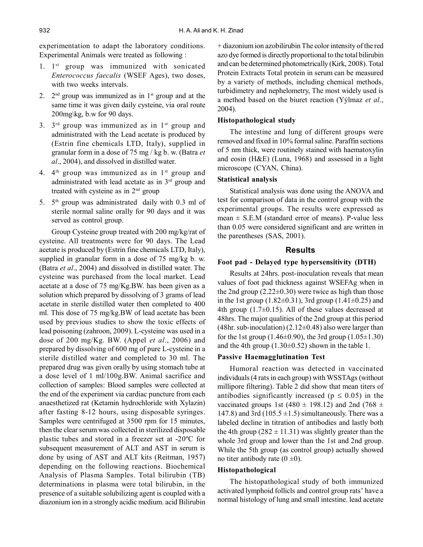experimentation to adapt the laboratory conditions. Experimental Animals were treated as following :

- 1. 1<sup>st</sup> group was immunized with sonicated *Enterococcus faecalis* (WSEF Ages), two doses, with two weeks intervals.
- 2.  $2^{\text{nd}}$  group was immunized as in 1<sup>st</sup> group and at the same time it was given daily cysteine, via oral route 200mg\kg, b.w for 90 days.
- 3.  $3<sup>rd</sup>$  group was immunized as in  $1<sup>st</sup>$  group and administrated with the Lead acetate is produced by (Estrin fine chemicals LTD, Italy), supplied in granular form in a dose of 75 mg / kg b. w. (Batra *et al*., 2004), and dissolved in distilled water.
- 4.  $4<sup>th</sup>$  group was immunized as in  $1<sup>st</sup>$  group and administrated with lead acetate as in 3rd group and treated with cysteine as in 2nd group
- 5.  $5<sup>th</sup>$  group was administrated daily with 0.3 ml of sterile normal saline orally for 90 days and it was served as control group.

Group Cysteine group treated with 200 mg/kg/rat of cysteine. All treatments were for 90 days. The Lead acetate is produced by (Estrin fine chemicals LTD, Italy), supplied in granular form in a dose of 75 mg/kg b. w. (Batra *et al*., 2004) and dissolved in distilled water. The cysteine was purchased from the local market. Lead acetate at a dose of 75 mg/Kg.BW. has been given as a solution which prepared by dissolving of 3 grams of lead acetate in sterile distilled water then completed to 400 ml. This dose of 75 mg/kg.BW of lead acetate has been used by previous studies to show the toxic effects of lead poisoning (zahroon, 2009). L-cysteine was used in a dose of 200 mg/Kg. BW. (Appel *et al*., 2006) and prepared by dissolving of 600 mg of pure L-cysteine in a sterile distilled water and completed to 30 ml. The prepared drug was given orally by using stomach tube at a dose level of 1 ml/100g.BW. Animal sacrifice and collection of samples: Blood samples were collected at the end of the experiment via cardiac puncture from each anaesthetized rat (Ketamin hydrochloride with Xylazin) after fasting 8-12 hours, using disposable syringes. Samples were centrifuged at 3500 rpm for 15 minutes, then the clear serum was collected in sterilized disposable plastic tubes and stored in a freezer set at -20ºC for subsequent measurement of ALT and AST in serum is done by using of AST and ALT kits (Reitman, 1957) depending on the following reactions. Biochemical Analysis of Plasma Samples. Total bilirubin (TB) determinations in plasma were total bilirubin, in the presence of a suitable solubilizing agent is coupled with a diazonium ion in a strongly acidic medium. acid Bilirubin

+ diazonium ion azobilirubin The color intensity of the red azo dye formed is directly proportional to the total bilirubin and can be determined photometrically (Kirk, 2008). Total Protein Extracts Total protein in serum can be measured by a variety of methods, including chemical methods, turbidimetry and nephelometry, The most widely used is a method based on the biuret reaction (Yýlmaz *et al*., 2004).

### **Histopathological study**

The intestine and lung of different groups were removed and fixed in 10% formal saline. Paraffin sections of 5 nm thick, were routinely stained with haematoxylin and eosin (H&E) (Luna, 1968) and assessed in a light microscope (CYAN, China).

## **Statistical analysis**

Statistical analysis was done using the ANOVA and test for comparison of data in the control group with the experimental groups. The results were expressed as mean  $\pm$  S.E.M (standard error of means). P-value less than 0.05 were considered significant and are written in the parentheses (SAS, 2001).

# **Results**

### **Foot pad - Delayed type hypersensitivity (DTH)**

Results at 24hrs. post-inoculation reveals that mean values of foot pad thickness against WSEFAg when in the 2nd group  $(2.22\pm0.30)$  were twice as high than those in the 1st group  $(1.82\pm0.31)$ , 3rd group  $(1.41\pm0.25)$  and 4th group  $(1.7\pm0.15)$ . All of these values decreased at 48hrs. The major qualities of the 2nd group at this period (48hr. sub-inoculation)  $(2.12\pm0.48)$  also were larger than for the 1st group  $(1.46\pm0.90)$ , the 3rd group  $(1.05\pm1.30)$ and the 4th group  $(1.30\pm0.52)$  shown in the table 1.

## **Passive Haemagglutination Test**

Humoral reaction was detected in vaccinated individuals (4 rats in each group) with WSSTAgs (without millipore filtering). Table 2 did show that mean titers of antibodies significantly increased ( $p \le 0.05$ ) in the vaccinated groups 1st (480  $\pm$  198.12) and 2nd (768  $\pm$ 147.8) and 3rd (105.5  $\pm$ 1.5) simultaneously. There was a labeled decline in titration of antibodies and lastly both the 4th group ( $282 \pm 11.31$ ) was slightly greater than the whole 3rd group and lower than the 1st and 2nd group. While the 5th group (as control group) actually showed no titer antibody rate  $(0 \pm 0)$ .

#### **Histopathological**

The histopathological study of both immunized activated lymphoid follicls and control group rats' have a normal histology of lung and small intestine. lead acetate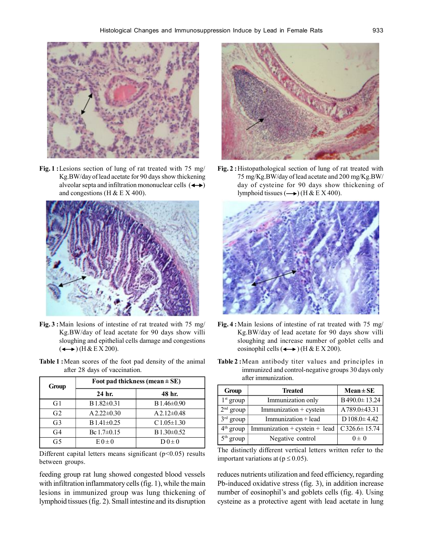

**Fig. 1 :**Lesions section of lung of rat treated with 75 mg/ Kg.BW/day of lead acetate for 90 days show thickening alveolar septa and infiltration mononuclear cells  $($   $\rightarrow$   $)$ and congestions (H  $& E X 400$ ).



- **Fig. 3 :**Main lesions of intestine of rat treated with 75 mg/ Kg.BW/day of lead acetate for 90 days show villi sloughing and epithelial cells damage and congestions  $(\leftrightarrow)$  (H & E X 200).
- **Table 1 :**Mean scores of the foot pad density of the animal after 28 days of vaccination.

| Group          | Foot pad thickness (mean $\pm$ SE) |                  |  |
|----------------|------------------------------------|------------------|--|
|                | 24 hr.                             | 48 hr.           |  |
| G1             | $B1.82 \pm 0.31$                   | $B1.46 \pm 0.90$ |  |
| G <sub>2</sub> | $A2.22 \pm 0.30$                   | $A2.12\pm0.48$   |  |
| G <sub>3</sub> | B1.41±0.25                         | $C1.05 \pm 1.30$ |  |
| G <sub>4</sub> | Bc $1.7 \pm 0.15$                  | $B1.30 \pm 0.52$ |  |
| G5             | $E0 \pm 0$                         | $D0\pm 0$        |  |

Different capital letters means significant  $(p<0.05)$  results between groups.

feeding group rat lung showed congested blood vessels with infiltration inflammatory cells (fig. 1), while the main lesions in immunized group was lung thickening of lymphoid tissues (fig. 2). Small intestine and its disruption



**Fig. 2 :**Histopathological section of lung of rat treated with 75 mg/Kg.BW/day of lead acetate and 200 mg/Kg.BW/ day of cysteine for 90 days show thickening of lymphoid tissues  $($   $\longrightarrow$   $)$  (H & E X 400).



- **Fig. 4 :**Main lesions of intestine of rat treated with 75 mg/ Kg.BW/day of lead acetate for 90 days show villi sloughing and increase number of goblet cells and eosinophil cells  $(\leftrightarrow)$  (H & E X 200).
- **Table 2 :**Mean antibody titer values and principles in immunized and control-negative groups 30 days only after immunization.

| Group       | <b>Treated</b>                | $Mean \pm SE$         |
|-------------|-------------------------------|-----------------------|
| $1st$ group | Immunization only             | B490.0±13.24          |
| $2nd$ group | Immunization + cystein        | A789.0±43.31          |
| $3rd$ group | Immunization + lead           | $D$ 108.0 $\pm$ 4.42  |
| $4th$ group | Immunization + cystein + lead | $C$ 326.6 $\pm$ 15.74 |
| $5th$ group | Negative control              | $0 \pm 0$             |

The distinctly different vertical letters written refer to the important variations at ( $p \le 0.05$ ).

reduces nutrients utilization and feed efficiency, regarding Pb-induced oxidative stress (fig. 3), in addition increase number of eosinophil's and goblets cells (fig. 4). Using cysteine as a protective agent with lead acetate in lung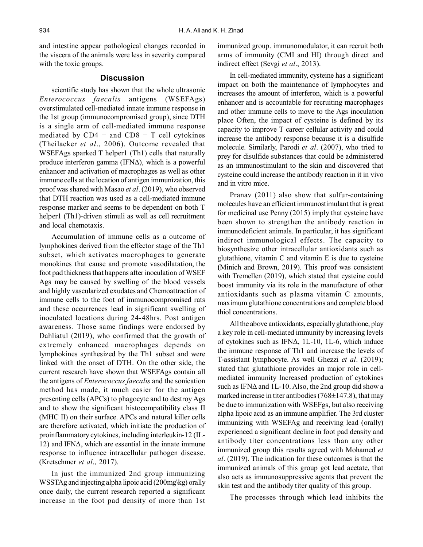and intestine appear pathological changes recorded in the viscera of the animals were less in severity compared with the toxic groups.

# **Discussion**

scientific study has shown that the whole ultrasonic *Enterococcus faecalis* antigens (WSEFAgs) overstimulated cell-mediated innate immune response in the 1st group (immunocompromised group), since DTH is a single arm of cell-mediated immune response mediated by  $CD4 + and CD8 + T$  cell cytokines (Theilacker *et al*., 2006). Outcome revealed that WSEFAgs sparked T helper1 (Th1) cells that naturally produce interferon gamma (IFNΔ), which is a powerful enhancer and activation of macrophages as well as other immune cells at the location of antigen immunization, this proof was shared with Masao *et al*. (2019), who observed that DTH reaction was used as a cell-mediated immune response marker and seems to be dependent on both T helper1 (Th1)-driven stimuli as well as cell recruitment and local chemotaxis.

Accumulation of immune cells as a outcome of lymphokines derived from the effector stage of the Th1 subset, which activates macrophages to generate monokines that cause and promote vasodilatation, the foot pad thickness that happens after inoculation of WSEF Ags may be caused by swelling of the blood vessels and highly vascularized exudates and Chemoattraction of immune cells to the foot of immunocompromised rats and these occurrences lead in significant swelling of inoculated locations during 24-48hrs. Post antigen awareness. Those same findings were endorsed by Dahliatul (2019), who confirmed that the growth of extremely enhanced macrophages depends on lymphokines synthesized by the Th1 subset and were linked with the onset of DTH. On the other side, the current research have shown that WSEFAgs contain all the antigens of *Enterococcus faecalis* and the sonication method has made, it much easier for the antigen presenting cells (APCs) to phagocyte and to destroy Ags and to show the significant histocompatibility class II (MHC II) on their surface. APCs and natural killer cells are therefore activated, which initiate the production of proinflammatory cytokines, including interleukin-12 (IL-12) and IFNΔ, which are essential in the innate immune response to influence intracellular pathogen disease. (Kretschmer *et al*., 2017).

In just the immunized 2nd group immunizing WSSTAg and injecting alpha lipoic acid (200mg\kg) orally once daily, the current research reported a significant increase in the foot pad density of more than 1st immunized group. immunomodulator, it can recruit both arms of immunity (CMI and HI) through direct and indirect effect (Sevgi *et al*., 2013).

In cell-mediated immunity, cysteine has a significant impact on both the maintenance of lymphocytes and increases the amount of interferon, which is a powerful enhancer and is accountable for recruiting macrophages and other immune cells to move to the Ags inoculation place Often, the impact of cysteine is defined by its capacity to improve T career cellular activity and could increase the antibody response because it is a disulfide molecule. Similarly, Parodi *et al*. (2007), who tried to prey for disulfide substances that could be administered as an immunostimulant to the skin and discovered that cysteine could increase the antibody reaction in it in vivo and in vitro mice.

Pranav (2011) also show that sulfur-containing molecules have an efficient immunostimulant that is great for medicinal use Penny (2015) imply that cysteine have been shown to strengthen the antibody reaction in immunodeficient animals. In particular, it has significant indirect immunological effects. The capacity to biosynthesize other intracellular antioxidants such as glutathione, vitamin C and vitamin E is due to cysteine **(**Minich and Brown, 2019). This proof was consistent with Tremellen (2019), which stated that cysteine could boost immunity via its role in the manufacture of other antioxidants such as plasma vitamin C amounts, maximum glutathione concentrations and complete blood thiol concentrations.

All the above antioxidants, especially glutathione, play a key role in cell-mediated immunity by increasing levels of cytokines such as IFNΔ, 1L-10, 1L-6, which induce the immune response of Th1 and increase the levels of T-assistant lymphocyte. As well Ghezzi *et al*. (2019); stated that glutathione provides an major role in cellmediated immunity Increased production of cytokines such as IFNΔ and 1L-10. Also, the 2nd group did show a marked increase in titer antibodies  $(768\pm147.8)$ , that may be due to immunization with WSEFgs, but also receiving alpha lipoic acid as an immune amplifier. The 3rd cluster immunizing with WSEFAg and receiving lead (orally) experienced a significant decline in foot pad density and antibody titer concentrations less than any other immunized group this results agreed with Mohamed *et al*. (2019). The indication for these outcomes is that the immunized animals of this group got lead acetate, that also acts as immunosuppressive agents that prevent the skin test and the antibody titer quality of this group.

The processes through which lead inhibits the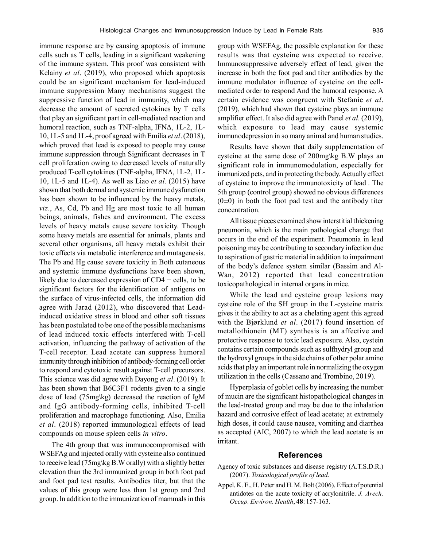immune response are by causing apoptosis of immune cells such as T cells, leading in a significant weakening of the immune system. This proof was consistent with Kelainy *et al*. (2019), who proposed which apoptosis could be an significant mechanism for lead-induced immune suppression Many mechanisms suggest the suppressive function of lead in immunity, which may decrease the amount of secreted cytokines by T cells that play an significant part in cell-mediated reaction and humoral reaction, such as TNF-alpha, IFNΔ, 1L-2, 1L-10, 1L-5 and 1L-4, proof agreed with Emilia *et al*. (2018), which proved that lead is exposed to people may cause immune suppression through Significant decreases in T cell proliferation owing to decreased levels of naturally produced T-cell cytokines (TNF-alpha, IFNΔ, 1L-2, 1L-10, 1L-5 and 1L-4). As well as Liao *et al.* (2015) have shown that both dermal and systemic immune dysfunction has been shown to be influenced by the heavy metals, *viz*., As, Cd, Pb and Hg are most toxic to all human beings, animals, fishes and environment. The excess levels of heavy metals cause severe toxicity. Though some heavy metals are essential for animals, plants and several other organisms, all heavy metals exhibit their toxic effects via metabolic interference and mutagenesis. The Pb and Hg cause severe toxicity in Both cutaneous and systemic immune dysfunctions have been shown, likely due to decreased expression of CD4 + cells, to be significant factors for the identification of antigens on the surface of virus-infected cells, the information did agree with Jarad (2012), who discovered that Leadinduced oxidative stress in blood and other soft tissues has been postulated to be one of the possible mechanisms of lead induced toxic effects interfered with T-cell activation, influencing the pathway of activation of the T-cell receptor. Lead acetate can suppress humoral immunity through inhibition of antibody-forming cell order to respond and cytotoxic result against T-cell precursors. This science was did agree with Dayong *et al*. (2019). It has been shown that B6C3F1 rodents given to a single dose of lead (75mg\kg) decreased the reaction of IgM and IgG antibody-forming cells, inhibited T-cell proliferation and macrophage functioning. Also, Emilia *et al*. (2018) reported immunological effects of lead compounds on mouse spleen cells *in vitro*.

The 4th group that was immunocompromised with WSEFAg and injected orally with cysteine also continued to receive lead (75mg\kg B.W orally) with a slightly better elevation than the 3rd immunized group in both foot pad and foot pad test results. Antibodies titer, but that the values of this group were less than 1st group and 2nd group. In addition to the immunization of mammals in this group with WSEFAg, the possible explanation for these results was that cysteine was expected to receive. Immunosuppressive adversely effect of lead, given the increase in both the foot pad and titer antibodies by the immune modulator influence of cysteine on the cellmediated order to respond And the humoral response. A certain evidence was congruent with Stefanie *et al*. (2019), which had shown that cysteine plays an immune amplifier effect. It also did agree with Panel *et al.* (2019), which exposure to lead may cause systemic immunodepression in so many animal and human studies.

Results have shown that daily supplementation of cysteine at the same dose of 200mg\kg B.W plays an significant role in immunomodulation, especially for immunized pets, and in protecting the body. Actually effect of cysteine to improve the immunotoxicity of lead . The 5th group (control group) showed no obvious differences  $(0±0)$  in both the foot pad test and the antibody titer concentration.

All tissue pieces examined show interstitial thickening pneumonia, which is the main pathological change that occurs in the end of the experiment. Pneumonia in lead poisoning may be contributing to secondary infection due to aspiration of gastric material in addition to impairment of the body's defence system similar (Bassim and Al-Wan, 2012) reported that lead concentration toxicopathological in internal organs in mice.

While the lead and cysteine group lesions may cysteine role of the SH group in the L-cysteine matrix gives it the ability to act as a chelating agent this agreed with the Bjørklund *et al*. (2017) found insertion of metallothionein (MT) synthesis is an affective and protective response to toxic lead exposure. Also, cystein contains certain compounds such as sulfhydryl group and the hydroxyl groups in the side chains of other polar amino acids that play an important role in normalizing the oxygen utilization in the cells (Cassano and Trombino, 2019).

Hyperplasia of goblet cells by increasing the number of mucin are the significant histopathological changes in the lead-treated group and may be due to the inhalation hazard and corrosive effect of lead acetate; at extremely high doses, it could cause nausea, vomiting and diarrhea as accepted (AIC, 2007) to which the lead acetate is an irritant.

# **References**

- Agency of toxic substances and disease registry (A.T.S.D.R.) (2007). *Toxicological profile of lead*.
- Appel, K. E., H. Peter and H. M. Bolt (2006). Effect of potential antidotes on the acute toxicity of acrylonitrile. *J. Arech. Occup. Environ. Health*, **48**: 157-163.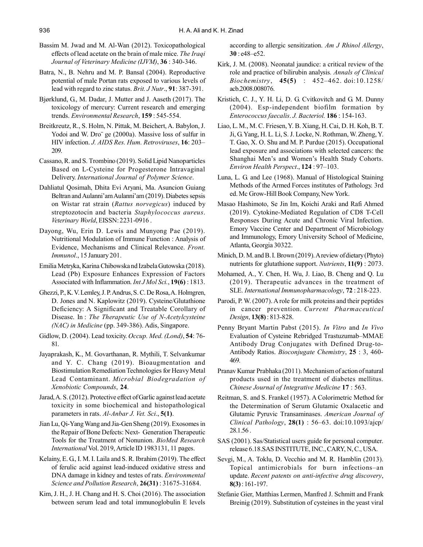- Bassim M. Jwad and M. Al-Wan (2012). Toxicopathological effects of lead acetate on the brain of male mice. *The Iraqi Journal of Veterinary Medicine (IJVM)*, **36** : 340-346.
- Batra, N., B. Nehru and M. P. Bansal (2004). Reproductive potential of male Portan rats exposed to various levels of lead with regard to zinc status. *Brit. J Nutr*., **91**: 387-391.
- Bjørklund, G., M. Dadar, J. Mutter and J. Aaseth (2017). The toxicology of mercury: Current research and emerging trends. *Environmental Research*, **159** : 545-554.
- Breitkreutz, R., S. Holm, N. Pittak, M. Beichert, A. Babylon, J. Yodoi and W. Dro¨ ge (2000a). Massive loss of sulfur in HIV infection. *J. AIDS Res. Hum. Retroviruses*, **16**: 203– 209.
- Cassano, R. and S. Trombino (2019). Solid Lipid Nanoparticles Based on L-Cysteine for Progesterone Intravaginal Delivery. *International Journal of Polymer Science*.
- Dahliatul Qosimah, Dhita Evi Aryani, Ma. Asuncion Guiang Beltran and Aulanni'am Aulanni'am (2019). Diabetes sepsis on Wistar rat strain (*Rattus norvegicus*) induced by streptozotocin and bacteria *Staphylococcus aureus*. *Veterinary World*, EISSN: 2231-0916 .
- Dayong, Wu, Erin D. Lewis and Munyong Pae (2019). Nutritional Modulation of Immune Function : Analysis of Evidence, Mechanisms and Clinical Relevance. *Front. Immunol*., 15 January 201.
- Emilia Metryka, Karina Chibowska nd Izabela Gutowska (2018). Lead (Pb) Exposure Enhances Expression of Factors Associated with Inflammation. *Int J Mol Sci.*, **19(6)** : 1813.
- Ghezzi, P., K. V. Lemley, J. P. Andrus, S. C. De Rosa, A. Holmgren, D. Jones and N. Kaplowitz (2019). Cysteine/Glutathione Deficiency: A Significant and Treatable Corollary of Disease. In : *The Therapeutic Use of N-Acetylcysteine (NAC) in Medicine* (pp. 349-386). Adis, Singapore.
- Gidlow, D. (2004). Lead toxicity. *Occup. Med. (Lond)*, **54**: 76- 81.
- Jayaprakash, K., M. Govarthanan, R. Mythili, T. Selvankumar and Y. C. Chang (2019). Bioaugmentation and Biostimulation Remediation Technologies for Heavy Metal Lead Contaminant. *Microbial Biodegradation of Xenobiotic Compounds*, **24**.
- Jarad, A. S. (2012). Protective effect of Garlic against lead acetate toxicity in some biochemical and histopathological parameters in rats. *Al-Anbar J. Vet. Sci*., **5(1)**.
- Jian Lu, Qi-Yang Wang and Jia-Gen Sheng (2019). Exosomes in the Repair of Bone Defects: Next- Generation Therapeutic Tools for the Treatment of Nonunion. *BioMed Research International* Vol. 2019, Article ID 1983131, 11 pages.
- Kelainy, E. G., I. M. I. Laila and S. R. Ibrahim (2019). The effect of ferulic acid against lead-induced oxidative stress and DNA damage in kidney and testes of rats. *Environmental Science and Pollution Research*, **26(31)** : 31675-31684.
- Kim, J. H., J. H. Chang and H. S. Choi (2016). The association between serum lead and total immunoglobulin E levels

according to allergic sensitization. *Am J Rhinol Allergy*, **30** : e48–e52.

- Kirk, J. M. (2008). Neonatal jaundice: a critical review of the role and practice of bilirubin analysis*. Annals of Clinical Biochemistry*, **45(5)** : 452–462. doi:10.1258/ acb.2008.008076.
- Kristich, C. J., Y. H. Li, D. G. Cvitkovitch and G. M. Dunny (2004). Esp-independent biofilm formation by *Enterococcus faecalis*. *J. Bacteriol.* **186** : 154-163.
- Liao, L. M., M. C. Friesen, Y. B. Xiang, H. Cai, D. H. Koh, B. T. Ji, G. Yang, H. L. Li, S. J. Locke, N. Rothman, W. Zheng, Y. T. Gao, X. O. Shu and M. P. Purdue (2015). Occupational lead exposure and associations with selected cancers: the Shanghai Men's and Women's Health Study Cohorts. *Environ Health Perspect*., **124** : 97–103.
- Luna, L. G. and Lee (1968). Manual of Histological Staining Methods of the Armed Forces institutes of Pathology. 3rd ed. Mc Grow-Hill Book Company, New York.
- Masao Hashimoto, Se Jin Im, Koichi Araki and Rafi Ahmed (2019). Cytokine-Mediated Regulation of CD8 T-Cell Responses During Acute and Chronic Viral Infection. Emory Vaccine Center and Department of Microbiology and Immunology, Emory University School of Medicine, Atlanta, Georgia 30322.
- Minich, D. M. and B. I. Brown (2019). A review of dietary (Phyto) nutrients for glutathione support. *Nutrients*, **11(9)** : 2073.
- Mohamed, A., Y. Chen, H. Wu, J. Liao, B. Cheng and Q. Lu (2019). Therapeutic advances in the treatment of SLE. *International Immunopharmacology*, **72** : 218-223.
- Parodi, P. W. (2007). A role for milk proteins and their peptides in cancer prevention. *Current Pharmaceutical Design*, **13(8)** : 813-828.
- Penny Bryant Martin Pabst (2015). *In Vitro* and *In Vivo* Evaluation of Cysteine Rebridged Trastuzumab–MMAE Antibody Drug Conjugates with Defined Drug-to-Antibody Ratios. *Bioconjugate Chemistry*, **25** : 3, 460- 469.
- Pranav Kumar Prabhaka (2011). Mechanism of action of natural products used in the treatment of diabetes mellitus. *Chinese Journal of Integrative Medicine* **17** : 563.
- Reitman, S. and S. Frankel (1957). A Colorimetric Method for the Determination of Serum Glutamic Oxalacetic and Glutamic Pyruvic Transaminases. *American Journal of Clinical Pathology*, **28(1)** : 56–63. doi:10.1093/ajcp/ 28.1.56 .
- SAS (2001). Sas/Statistical users guide for personal computer. release 6.18.SAS INSTITUTE, INC., CARY, N, C., USA.
- Sevgi, M., A. Toklu, D. Vecchio and M. R. Hamblin (2013). Topical antimicrobials for burn infections–an update. *Recent patents on anti-infective drug discovery*, **8(3)** : 161-197.
- Stefanie Gier, Matthias Lermen, Manfred J. Schmitt and Frank Breinig (2019). Substitution of cysteines in the yeast viral